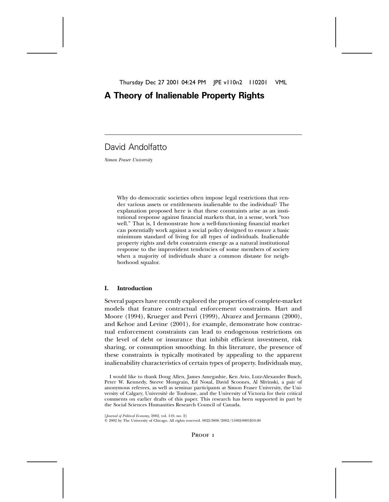### Thursday Dec 27 2001 04:24 PM JPE v110n2 110201 VML

# **A Theory of Inalienable Property Rights**

# David Andolfatto

*Simon Fraser University*

Why do democratic societies often impose legal restrictions that render various assets or entitlements inalienable to the individual? The explanation proposed here is that these constraints arise as an institutional response against financial markets that, in a sense, work "too well." That is, I demonstrate how a well-functioning financial market can potentially work against a social policy designed to ensure a basic minimum standard of living for all types of individuals. Inalienable property rights and debt constraints emerge as a natural institutional response to the improvident tendencies of some members of society when a majority of individuals share a common distaste for neighborhood squalor.

# **I. Introduction**

Several papers have recently explored the properties of complete-market models that feature contractual enforcement constraints. Hart and Moore (1994), Krueger and Perri (1999), Alvarez and Jermann (2000), and Kehoe and Levine (2001), for example, demonstrate how contractual enforcement constraints can lead to endogenous restrictions on the level of debt or insurance that inhibit efficient investment, risk sharing, or consumption smoothing. In this literature, the presence of these constraints is typically motivated by appealing to the apparent inalienability characteristics of certain types of property. Individuals may,

[*Journal of Political Economy,* 2002, vol. 110, no. 2] 2002 by The University of Chicago. All rights reserved. 0022-3808/2002/11002-0001\$10.00

I would like to thank Doug Allen, James Amegashie, Ken Avio, Lutz-Alexander Busch, Peter W. Kennedy, Steeve Mongrain, Ed Nosal, David Scoones, Al Slivinski, a pair of anonymous referees, as well as seminar participants at Simon Fraser University, the University of Calgary, Université de Toulouse, and the University of Victoria for their critical comments on earlier drafts of this paper. This research has been supported in part by the Social Sciences Humanities Research Council of Canada.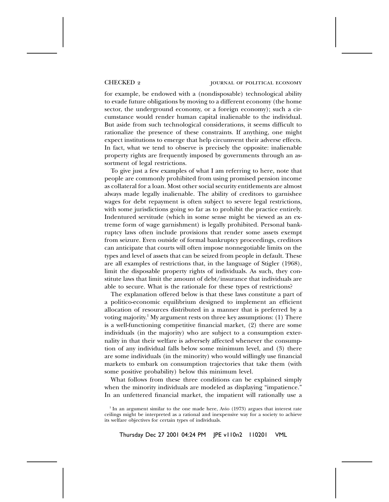# CHECKED 2 **jOURNAL OF POLITICAL ECONOMY**

for example, be endowed with a (nondisposable) technological ability to evade future obligations by moving to a different economy (the home sector, the underground economy, or a foreign economy); such a circumstance would render human capital inalienable to the individual. But aside from such technological considerations, it seems difficult to rationalize the presence of these constraints. If anything, one might expect institutions to emerge that help circumvent their adverse effects. In fact, what we tend to observe is precisely the opposite: inalienable property rights are frequently imposed by governments through an assortment of legal restrictions.

To give just a few examples of what I am referring to here, note that people are commonly prohibited from using promised pension income as collateral for a loan. Most other social security entitlements are almost always made legally inalienable. The ability of creditors to garnishee wages for debt repayment is often subject to severe legal restrictions, with some jurisdictions going so far as to prohibit the practice entirely. Indentured servitude (which in some sense might be viewed as an extreme form of wage garnishment) is legally prohibited. Personal bankruptcy laws often include provisions that render some assets exempt from seizure. Even outside of formal bankruptcy proceedings, creditors can anticipate that courts will often impose nonnegotiable limits on the types and level of assets that can be seized from people in default. These are all examples of restrictions that, in the language of Stigler (1968), limit the disposable property rights of individuals. As such, they constitute laws that limit the amount of debt/insurance that individuals are able to secure. What is the rationale for these types of restrictions?

The explanation offered below is that these laws constitute a part of a politico-economic equilibrium designed to implement an efficient allocation of resources distributed in a manner that is preferred by a voting majority.<sup>1</sup> My argument rests on three key assumptions: (1) There is a well-functioning competitive financial market, (2) there are some individuals (in the majority) who are subject to a consumption externality in that their welfare is adversely affected whenever the consumption of any individual falls below some minimum level, and (3) there are some individuals (in the minority) who would willingly use financial markets to embark on consumption trajectories that take them (with some positive probability) below this minimum level.

What follows from these three conditions can be explained simply when the minority individuals are modeled as displaying "impatience." In an unfettered financial market, the impatient will rationally use a

 $1$ In an argument similar to the one made here, Avio (1973) argues that interest rate ceilings might be interpreted as a rational and inexpensive way for a society to achieve its welfare objectives for certain types of individuals.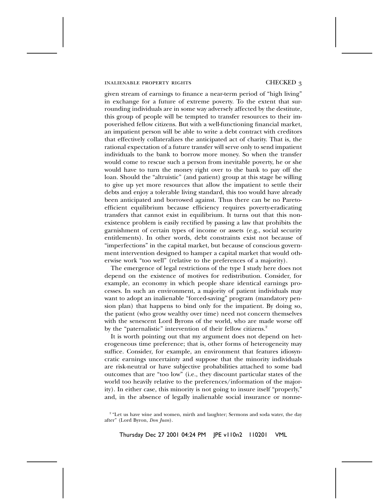given stream of earnings to finance a near-term period of "high living" in exchange for a future of extreme poverty. To the extent that surrounding individuals are in some way adversely affected by the destitute, this group of people will be tempted to transfer resources to their impoverished fellow citizens. But with a well-functioning financial market, an impatient person will be able to write a debt contract with creditors that effectively collateralizes the anticipated act of charity. That is, the rational expectation of a future transfer will serve only to send impatient individuals to the bank to borrow more money. So when the transfer would come to rescue such a person from inevitable poverty, he or she would have to turn the money right over to the bank to pay off the loan. Should the "altruistic" (and patient) group at this stage be willing to give up yet more resources that allow the impatient to settle their debts and enjoy a tolerable living standard, this too would have already been anticipated and borrowed against. Thus there can be no Paretoefficient equilibrium because efficiency requires poverty-eradicating transfers that cannot exist in equilibrium. It turns out that this nonexistence problem is easily rectified by passing a law that prohibits the garnishment of certain types of income or assets (e.g., social security entitlements). In other words, debt constraints exist not because of "imperfections" in the capital market, but because of conscious government intervention designed to hamper a capital market that would otherwise work "too well" (relative to the preferences of a majority).

The emergence of legal restrictions of the type I study here does not depend on the existence of motives for redistribution. Consider, for example, an economy in which people share identical earnings processes. In such an environment, a majority of patient individuals may want to adopt an inalienable "forced-saving" program (mandatory pension plan) that happens to bind only for the impatient. By doing so, the patient (who grow wealthy over time) need not concern themselves with the senescent Lord Byrons of the world, who are made worse off by the "paternalistic" intervention of their fellow citizens.<sup>2</sup>

It is worth pointing out that my argument does not depend on heterogeneous time preference; that is, other forms of heterogeneity may suffice. Consider, for example, an environment that features idiosyncratic earnings uncertainty and suppose that the minority individuals are risk-neutral or have subjective probabilities attached to some bad outcomes that are "too low" (i.e., they discount particular states of the world too heavily relative to the preferences/information of the majority). In either case, this minority is not going to insure itself "properly," and, in the absence of legally inalienable social insurance or nonne-

<sup>2</sup> "Let us have wine and women, mirth and laughter; Sermons and soda water, the day after" (Lord Byron, *Don Juan*).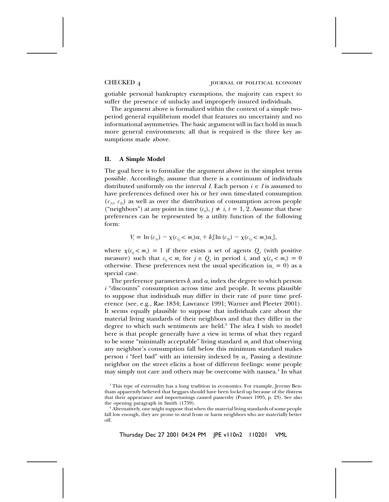gotiable personal bankruptcy exemptions, the majority can expect to suffer the presence of unlucky and improperly insured individuals.

The argument above is formalized within the context of a simple twoperiod general equilibrium model that features no uncertainty and no informational asymmetries. The basic argument will in fact hold in much more general environments; all that is required is the three key assumptions made above.

#### **II. A Simple Model**

The goal here is to formalize the argument above in the simplest terms possible. Accordingly, assume that there is a continuum of individuals distributed uniformly on the interval *I*. Each person  $i \in I$  is assumed to have preferences defined over his or her own time-dated consumption  $(c_{1i}, c_{2i})$  as well as over the distribution of consumption across people ("neighbors") at any point in time  $(c_{ij})$ ,  $j \neq i$ ,  $t = 1, 2$ . Assume that these preferences can be represented by a utility function of the following form:

$$
V_i = \ln (c_{1i}) - \chi (c_{1j} < m_i) \alpha_i + \delta_i [\ln (c_{2i}) - \chi (c_{1j} < m_i) \alpha_i],
$$

where  $\chi(c_i, m_i) = 1$  if there exists a set of agents  $Q_i$  (with positive measure) such that  $c_i < m_i$  for  $j \in Q_i$  in period *t*, and  $\chi(c_i < m_i) = 0$ otherwise. These preferences nest the usual specification  $(\alpha_i = 0)$  as a special case.

The preference parameters  $\delta_i$  and  $\alpha_i$  index the degree to which person *i* "discounts" consumption across time and people. It seems plausible to suppose that individuals may differ in their rate of pure time preference (see, e.g., Rae 1834; Lawrance 1991; Warner and Pleeter 2001). It seems equally plausible to suppose that individuals care about the material living standards of their neighbors and that they differ in the degree to which such sentiments are held.<sup>3</sup> The idea I wish to model here is that people generally have a view in terms of what they regard to be some "minimally acceptable" living standard *mi* and that observing any neighbor's consumption fall below this minimum standard makes person  $i$  "feel bad" with an intensity indexed by  $\alpha_i$ . Passing a destitute neighbor on the street elicits a host of different feelings: some people may simply not care and others may be overcome with nausea.<sup>4</sup> In what

<sup>4</sup> Alternatively, one might suppose that when the material living standards of some people fall low enough, they are prone to steal from or harm neighbors who are materially better off.

<sup>&</sup>lt;sup>3</sup> This type of externality has a long tradition in economics. For example, Jeremy Bentham apparently believed that beggars should have been locked up because of the distress that their appearance and importunings caused passersby (Posner 1995, p. 23). See also the opening paragraph in Smith (1759).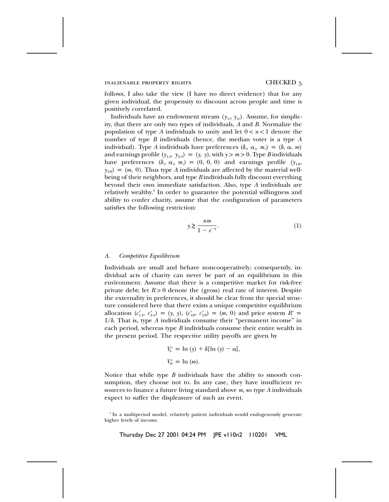follows, I also take the view (I have no direct evidence) that for any given individual, the propensity to discount across people and time is positively correlated.

Individuals have an endowment stream  $(y_{1i}, y_{2i})$ . Assume, for simplicity, that there are only two types of individuals, *A* and *B.* Normalize the population of type *A* individuals to unity and let  $0 < n < 1$  denote the number of type *B* individuals (hence, the median voter is a type *A* individual). Type *A* individuals have preferences  $(\delta_i, \alpha_i, m_i) = (\delta, \alpha, m)$ and earnings profile  $(y_{1A}, y_{2A}) = (y, y)$ , with  $y > m > 0$ . Type *B* individuals have preferences  $(\delta_{\rho}, \alpha_{\rho}, m_{\rho}) = (0, 0, 0)$  and earnings profile  $(y_{1B},$  $y_{2B}$  = (*m*, 0). Thus type *A* individuals are affected by the material wellbeing of their neighbors, and type *B* individuals fully discount everything beyond their own immediate satisfaction. Also, type *A* individuals are relatively wealthy.<sup>5</sup> In order to guarantee the potential willingness and ability to confer charity, assume that the configuration of parameters satisfies the following restriction:

$$
y \ge \frac{nm}{1 - e^{-\alpha}}.\tag{1}
$$

#### *A. Competitive Equilibrium*

Individuals are small and behave noncooperatively; consequently, individual acts of charity can never be part of an equilibrium in this environment. Assume that there is a competitive market for risk-free private debt; let  $R > 0$  denote the (gross) real rate of interest. Despite the externality in preferences, it should be clear from the special structure considered here that there exists a unique competitive equilibrium allocation  $(c_{1A}^e, c_{2A}^e) = (y, y), (c_{1B}^e, c_{2B}^e) = (m, 0)$  and price system  $R^e =$  $1/\delta$ . That is, type *A* individuals consume their "permanent income" in each period, whereas type *B* individuals consume their entire wealth in the present period. The respective utility payoffs are given by

$$
V_A^e = \ln(y) + \delta[\ln(y) - \alpha],
$$
  
\n
$$
V_B^e = \ln(m).
$$

Notice that while type *B* individuals have the ability to smooth consumption, they choose not to. In any case, they have insufficient resources to finance a future living standard above *m,* so type *A* individuals expect to suffer the displeasure of such an event.

<sup>5</sup> In a multiperiod model, relatively patient individuals would endogenously generate higher levels of income.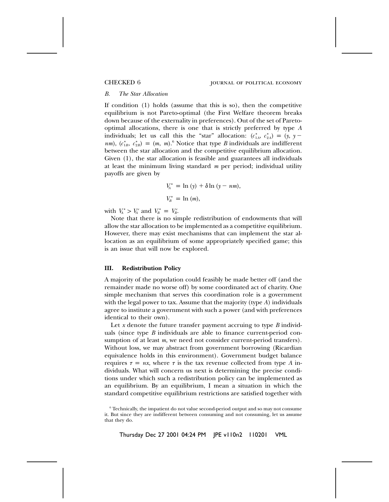### *B. The Star Allocation*

If condition (1) holds (assume that this is so), then the competitive equilibrium is not Pareto-optimal (the First Welfare theorem breaks down because of the externality in preferences). Out of the set of Paretooptimal allocations, there is one that is strictly preferred by type *A* individuals; let us call this the "star" allocation:  $(c_{1A}^*, c_{2A}^*) = (y, y - nm)$ ,  $(c_{1B}^*, c_{2B}^*) = (m, m)$ .<sup>6</sup> Notice that type *B* individuals are indifferent between the star allocation and the competitive equilibrium allocation. Given (1), the star allocation is feasible and guarantees all individuals at least the minimum living standard *m* per period; individual utility payoffs are given by

$$
V_A^* = \ln(y) + \delta \ln(y - nm),
$$
  

$$
V_B^* = \ln(m),
$$

with  $V_A^* > V_A^e$  and  $V_B^* = V_B^e$ .

Note that there is no simple redistribution of endowments that will allow the star allocation to be implemented as a competitive equilibrium. However, there may exist mechanisms that can implement the star allocation as an equilibrium of some appropriately specified game; this is an issue that will now be explored.

#### **III. Redistribution Policy**

A majority of the population could feasibly be made better off (and the remainder made no worse off) by some coordinated act of charity. One simple mechanism that serves this coordination role is a government with the legal power to tax. Assume that the majority (type *A*) individuals agree to institute a government with such a power (and with preferences identical to their own).

Let *x* denote the future transfer payment accruing to type *B* individuals (since type *B* individuals are able to finance current-period consumption of at least *m*, we need not consider current-period transfers). Without loss, we may abstract from government borrowing (Ricardian equivalence holds in this environment). Government budget balance requires  $\tau = nx$ , where  $\tau$  is the tax revenue collected from type *A* individuals. What will concern us next is determining the precise conditions under which such a redistribution policy can be implemented as an equilibrium. By an equilibrium, I mean a situation in which the standard competitive equilibrium restrictions are satisfied together with

<sup>6</sup> Technically, the impatient do not value second-period output and so may not consume it. But since they are indifferent between consuming and not consuming, let us assume that they do.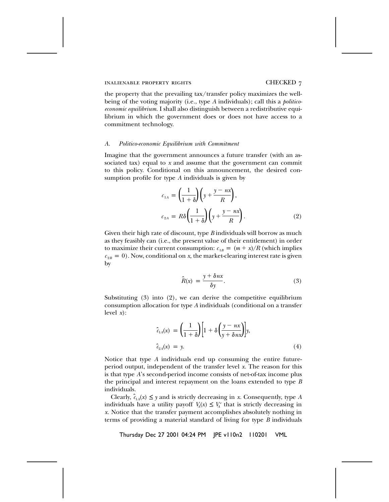the property that the prevailing tax/transfer policy maximizes the wellbeing of the voting majority (i.e., type *A* individuals); call this a *politicoeconomic equilibrium.* I shall also distinguish between a redistributive equilibrium in which the government does or does not have access to a commitment technology.

#### *A. Politico-economic Equilibrium with Commitment*

Imagine that the government announces a future transfer (with an associated tax) equal to *x* and assume that the government can commit to this policy. Conditional on this announcement, the desired consumption profile for type *A* individuals is given by

$$
c_{1A} = \left(\frac{1}{1+\delta}\right)\left(y + \frac{y - nx}{R}\right),
$$
  
\n
$$
c_{2A} = R\delta\left(\frac{1}{1+\delta}\right)\left(y + \frac{y - nx}{R}\right).
$$
\n(2)

Given their high rate of discount, type *B* individuals will borrow as much as they feasibly can (i.e., the present value of their entitlement) in order to maximize their current consumption:  $c_{1B} = (m + x)/R$  (which implies  $c_{2B} = 0$ ). Now, conditional on *x*, the market-clearing interest rate is given by

$$
\hat{R}(x) = \frac{y + \delta nx}{\delta y}.
$$
\n(3)

Substituting  $(3)$  into  $(2)$ , we can derive the competitive equilibrium consumption allocation for type *A* individuals (conditional on a transfer level  $x$ :

$$
\hat{c}_{1A}(x) = \left(\frac{1}{1+\delta}\right) \left[1 + \delta \left(\frac{y - nx}{y + \delta nx}\right)\right],
$$
\n
$$
\hat{c}_{2A}(x) = y.
$$
\n(4)

Notice that type *A* individuals end up consuming the entire futureperiod output, independent of the transfer level *x.* The reason for this is that type *A*'s second-period income consists of net-of-tax income plus the principal and interest repayment on the loans extended to type *B* individuals.

Clearly,  $\hat{c}_{1A}(x) \leq y$  and is strictly decreasing in *x*. Consequently, type *A* individuals have a utility payoff  $V_A(x) \leq V_A^e$  that is strictly decreasing in *x.* Notice that the transfer payment accomplishes absolutely nothing in terms of providing a material standard of living for type *B* individuals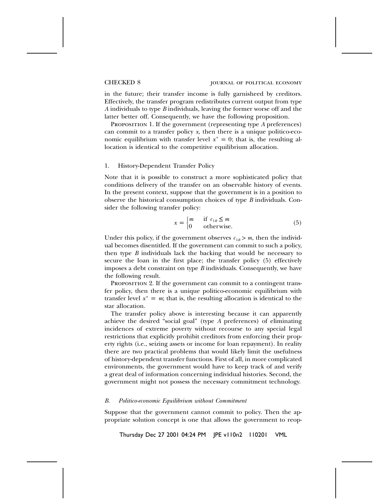in the future; their transfer income is fully garnisheed by creditors. Effectively, the transfer program redistributes current output from type *A* individuals to type *B* individuals, leaving the former worse off and the latter better off. Consequently, we have the following proposition.

PROPOSITION 1. If the government (representing type *A* preferences) can commit to a transfer policy *x,* then there is a unique politico-economic equilibrium with transfer level  $x^* = 0$ ; that is, the resulting allocation is identical to the competitive equilibrium allocation.

#### 1. History-Dependent Transfer Policy

Note that it is possible to construct a more sophisticated policy that conditions delivery of the transfer on an observable history of events. In the present context, suppose that the government is in a position to observe the historical consumption choices of type *B* individuals. Consider the following transfer policy:

$$
x = \begin{cases} m & \text{if } c_{1B} \le m \\ 0 & \text{otherwise.} \end{cases}
$$
 (5)

Under this policy, if the government observes  $c_{1B} > m$ , then the individual becomes disentitled. If the government can commit to such a policy, then type *B* individuals lack the backing that would be necessary to secure the loan in the first place; the transfer policy (5) effectively imposes a debt constraint on type *B* individuals. Consequently, we have the following result.

PROPOSITION 2. If the government can commit to a contingent transfer policy, then there is a unique politico-economic equilibrium with transfer level  $x^* = m$ ; that is, the resulting allocation is identical to the star allocation.

The transfer policy above is interesting because it can apparently achieve the desired "social goal" (type *A* preferences) of eliminating incidences of extreme poverty without recourse to any special legal restrictions that explicitly prohibit creditors from enforcing their property rights (i.e., seizing assets or income for loan repayment). In reality there are two practical problems that would likely limit the usefulness of history-dependent transfer functions. First of all, in more complicated environments, the government would have to keep track of and verify a great deal of information concerning individual histories. Second, the government might not possess the necessary commitment technology.

#### *B. Politico-economic Equilibrium without Commitment*

Suppose that the government cannot commit to policy. Then the appropriate solution concept is one that allows the government to reop-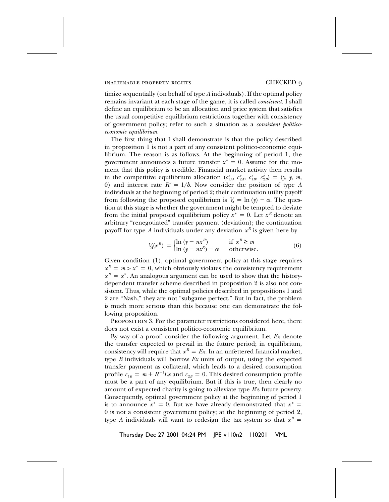timize sequentially (on behalf of type *A* individuals). If the optimal policy remains invariant at each stage of the game, it is called *consistent.* I shall define an equilibrium to be an allocation and price system that satisfies the usual competitive equilibrium restrictions together with consistency of government policy; refer to such a situation as a *consistent politicoeconomic equilibrium.*

The first thing that I shall demonstrate is that the policy described in proposition 1 is not a part of any consistent politico-economic equilibrium. The reason is as follows. At the beginning of period 1, the government announces a future transfer  $x^* = 0$ . Assume for the moment that this policy is credible. Financial market activity then results in the competitive equilibrium allocation  $(c_{1A}^e, c_{2A}^e, c_{1B}^e, c_{2B}^e) = (y, y, m,$ 0) and interest rate  $R^e = 1/\delta$ . Now consider the position of type *A* individuals at the beginning of period 2; their continuation utility payoff from following the proposed equilibrium is  $V_A = \ln(y) - \alpha$ . The question at this stage is whether the government might be tempted to deviate from the initial proposed equilibrium policy  $x^* = 0$ . Let  $x^R$  denote an arbitrary "renegotiated" transfer payment (deviation); the continuation payoff for type *A* individuals under any deviation  $x^R$  is given here by

$$
V_A(x^R) = \begin{cases} \ln(y - nx^R) & \text{if } x^R \ge m \\ \ln(y - nx^R) - \alpha & \text{otherwise.} \end{cases}
$$
(6)

Given condition (1), optimal government policy at this stage requires  $x^R = m > x^* = 0$ , which obviously violates the consistency requirement  $x^R = x^*$ . An analogous argument can be used to show that the historydependent transfer scheme described in proposition 2 is also not consistent. Thus, while the optimal policies described in propositions 1 and 2 are "Nash," they are not "subgame perfect." But in fact, the problem is much more serious than this because one can demonstrate the following proposition.

PROPOSITION 3. For the parameter restrictions considered here, there does not exist a consistent politico-economic equilibrium.

By way of a proof, consider the following argument. Let *Ex* denote the transfer expected to prevail in the future period; in equilibrium, consistency will require that  $x^R = Ex$ . In an unfettered financial market, type *B* individuals will borrow *Ex* units of output, using the expected transfer payment as collateral, which leads to a desired consumption profile  $c_{1B} = m + R^{-1}Ex$  and  $c_{2B} = 0$ . This desired consumption profile must be a part of any equilibrium. But if this is true, then clearly no amount of expected charity is going to alleviate type *B*'s future poverty. Consequently, optimal government policy at the beginning of period 1 is to announce  $x^* = 0$ . But we have already demonstrated that  $x^* = 0$ 0 is not a consistent government policy; at the beginning of period 2, type *A* individuals will want to redesign the tax system so that  $x^R =$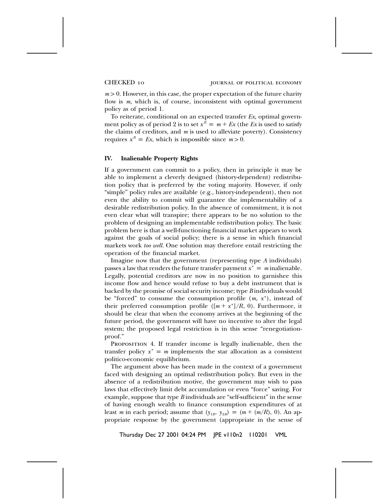$m > 0$ . However, in this case, the proper expectation of the future charity flow is *m,* which is, of course, inconsistent with optimal government policy as of period 1.

To reiterate, conditional on an expected transfer *Ex,* optimal government policy as of period 2 is to set  $x^R = m + Ex$  (the *Ex* is used to satisfy the claims of creditors, and *m* is used to alleviate poverty). Consistency requires  $x^R = Ex$ , which is impossible since  $m > 0$ .

### **IV. Inalienable Property Rights**

If a government can commit to a policy, then in principle it may be able to implement a cleverly designed (history-dependent) redistribution policy that is preferred by the voting majority. However, if only "simple" policy rules are available (e.g., history-independent), then not even the ability to commit will guarantee the implementability of a desirable redistribution policy. In the absence of commitment, it is not even clear what will transpire; there appears to be no solution to the problem of designing an implementable redistribution policy. The basic problem here is that a well-functioning financial market appears to work against the goals of social policy; there is a sense in which financial markets work *too well.* One solution may therefore entail restricting the operation of the financial market.

Imagine now that the government (representing type *A* individuals) passes a law that renders the future transfer payment  $x^* = m$  inalienable. Legally, potential creditors are now in no position to garnishee this income flow and hence would refuse to buy a debt instrument that is backed by the promise of social security income; type *B* individuals would be "forced" to consume the consumption profile  $(m, x^*)$ , instead of their preferred consumption profile  $([m + x^*]/R, 0)$ . Furthermore, it should be clear that when the economy arrives at the beginning of the future period, the government will have no incentive to alter the legal system; the proposed legal restriction is in this sense "renegotiationproof."

PROPOSITION 4. If transfer income is legally inalienable, then the transfer policy  $x^* = m$  implements the star allocation as a consistent politico-economic equilibrium.

The argument above has been made in the context of a government faced with designing an optimal redistribution policy. But even in the absence of a redistribution motive, the government may wish to pass laws that effectively limit debt accumulation or even "force" saving. For example, suppose that type *B* individuals are "self-sufficient" in the sense of having enough wealth to finance consumption expenditures of at least *m* in each period; assume that  $(y_{1B}, y_{2B}) = (m + (m/R), 0)$ . An appropriate response by the government (appropriate in the sense of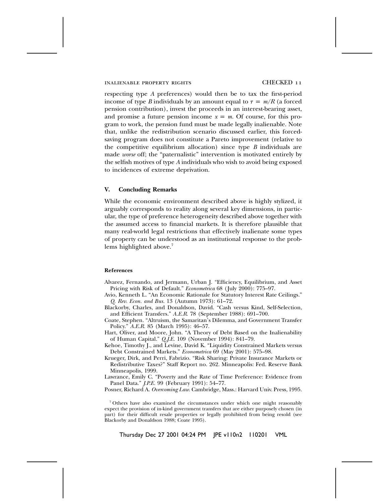respecting type *A* preferences) would then be to tax the first-period income of type *B* individuals by an amount equal to  $\tau = m/R$  (a forced pension contribution), invest the proceeds in an interest-bearing asset, and promise a future pension income  $x = m$ . Of course, for this program to work, the pension fund must be made legally inalienable. Note that, unlike the redistribution scenario discussed earlier, this forcedsaving program does not constitute a Pareto improvement (relative to the competitive equilibrium allocation) since type *B* individuals are made *worse* off; the "paternalistic" intervention is motivated entirely by the selfish motives of type *A* individuals who wish to avoid being exposed to incidences of extreme deprivation.

# **V. Concluding Remarks**

While the economic environment described above is highly stylized, it arguably corresponds to reality along several key dimensions, in particular, the type of preference heterogeneity described above together with the assumed access to financial markets. It is therefore plausible that many real-world legal restrictions that effectively inalienate some types of property can be understood as an institutional response to the problems highlighted above.<sup>7</sup>

#### **References**

- Alvarez, Fernando, and Jermann, Urban J. "Efficiency, Equilibrium, and Asset Pricing with Risk of Default." *Econometrica* 68 (July 2000): 775–97.
- Avio, Kenneth L. "An Economic Rationale for Statutory Interest Rate Ceilings." *Q. Rev. Econ. and Bus.* 13 (Autumn 1973): 61–72.
- Blackorby, Charles, and Donaldson, David. "Cash versus Kind, Self-Selection, and Efficient Transfers." *A.E.R.* 78 (September 1988): 691–700.
- Coate, Stephen. "Altruism, the Samaritan's Dilemma, and Government Transfer Policy." *A.E.R.* 85 (March 1995): 46–57.
- Hart, Oliver, and Moore, John. "A Theory of Debt Based on the Inalienability of Human Capital." *Q.J.E.* 109 (November 1994): 841–79.
- Kehoe, Timothy J., and Levine, David K. "Liquidity Constrained Markets versus Debt Constrained Markets." *Econometrica* 69 (May 2001): 575–98.
- Krueger, Dirk, and Perri, Fabrizio. "Risk Sharing: Private Insurance Markets or Redistributive Taxes?" Staff Report no. 262. Minneapolis: Fed. Reserve Bank Minneapolis, 1999.
- Lawrance, Emily C. "Poverty and the Rate of Time Preference: Evidence from Panel Data." *J.P.E.* 99 (February 1991): 54–77.

Posner, Richard A. *Overcoming Law.* Cambridge, Mass.: Harvard Univ. Press, 1995.

<sup>7</sup> Others have also examined the circumstances under which one might reasonably expect the provision of in-kind government transfers that are either purposely chosen (in part) for their difficult resale properties or legally prohibited from being resold (see Blackorby and Donaldson 1988; Coate 1995).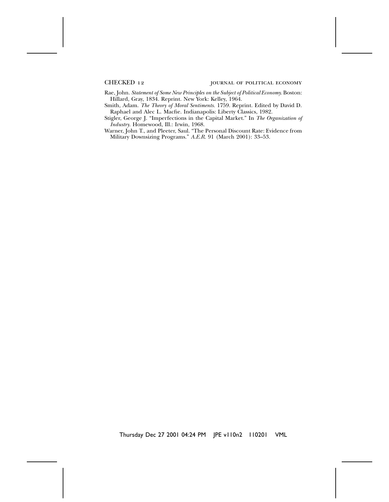- Rae, John. *Statement of Some New Principles on the Subject of Political Economy.* Boston: Hillard, Gray, 1834. Reprint. New York: Kelley, 1964.
- Smith, Adam. *The Theory of Moral Sentiments.* 1759. Reprint. Edited by David D. Raphael and Alec L. Macfie. Indianapolis: Liberty Classics, 1982.
- Stigler, George J. "Imperfections in the Capital Market." In *The Organization of Industry.* Homewood, Ill.: Irwin, 1968.
- Warner, John T., and Pleeter, Saul. "The Personal Discount Rate: Evidence from Military Downsizing Programs." *A.E.R.* 91 (March 2001): 33–53.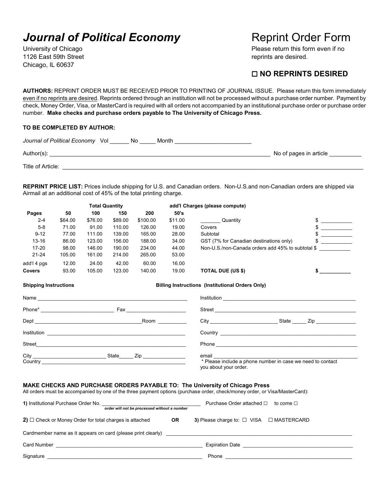# *Journal of Political Economy* FR R

1126 East 59th Street Chicago, IL 60637

# eprint Order Form

University of Chicago **Exercise 2018** Please return this form even if no esired.

# $\square$  **NO REPRINTS DESIRED**

AUTHORS: REPRINT ORDER MUST BE RECEIVED PRIOR TO PRINTING OF JOURNAL ISSUE. Please return this form immediately <u>even if no reprints are desired</u>. Reprints ordered through an institution will not be processed without a purchase order number. Payment by check, Money Order, Visa, or MasterCard is required with all orders not accompanied by an institutional purchase order or purchase order number. Make checks and purchase orders payable to The University of Chicago Press.

# TO BE COMPLETED BY AUTHOR:

| Journal of Political Economy Vol<br>Month<br>No |                        |
|-------------------------------------------------|------------------------|
| Author(s):                                      | No of pages in article |
| Title of Article:                               |                        |

REPRINT PRICE LIST: Prices include shipping for U.S. and Canadian orders. Non-U.S.and non-Canadian orders are shipped via Airmail at an additional cost of 45% of the total printing charge.

|                              | <b>Total Quantity</b> |         |         |          |         | add'l Charges (please compute)                                                                                |                                                           |  |
|------------------------------|-----------------------|---------|---------|----------|---------|---------------------------------------------------------------------------------------------------------------|-----------------------------------------------------------|--|
| Pages                        | 50                    | 100     | 150     | 200      | 50's    |                                                                                                               |                                                           |  |
| $2 - 4$                      | \$64.00               | \$76.00 | \$89.00 | \$100.00 | \$11.00 | Quantity                                                                                                      | $\begin{array}{c} \updownarrow \\ \downarrow \end{array}$ |  |
| $5-8$                        | 71.00                 | 91.00   | 110.00  | 126.00   | 19.00   | Covers                                                                                                        | $\qquad \qquad \bullet$                                   |  |
| $9 - 12$                     | 77.00                 | 111.00  | 139.00  | 165.00   | 28.00   | Subtotal                                                                                                      | $$\overbrace{\hspace{2.5cm}}$                             |  |
| $13 - 16$                    | 86.00                 | 123.00  | 156.00  | 188.00   | 34.00   | GST (7% for Canadian destinations only)                                                                       | $\frac{1}{2}$                                             |  |
| $17 - 20$                    | 98.00                 | 146.00  | 190.00  | 234.00   | 44.00   | Non-U.S./non-Canada orders add 45% to subtotal \$                                                             |                                                           |  |
| $21 - 24$                    | 105.00                | 161.00  | 214.00  | 265.00   | 53.00   |                                                                                                               |                                                           |  |
| add'l 4 pgs                  | 12.00                 | 24.00   | 42.00   | 60.00    | 16.00   |                                                                                                               |                                                           |  |
| Covers                       | 93.00                 | 105.00  | 123.00  | 140.00   | 19.00   | <b>TOTAL DUE (US \$)</b>                                                                                      | $\sim$                                                    |  |
| <b>Shipping Instructions</b> |                       |         |         |          |         | <b>Billing Instructions (Institutional Orders Only)</b>                                                       |                                                           |  |
|                              |                       |         |         |          |         |                                                                                                               |                                                           |  |
|                              |                       |         |         |          |         |                                                                                                               |                                                           |  |
|                              |                       |         |         |          |         |                                                                                                               |                                                           |  |
|                              |                       |         |         |          |         |                                                                                                               |                                                           |  |
|                              |                       |         |         |          |         | email and the contract of the contract of the contract of the contract of the contract of the contract of the |                                                           |  |
|                              |                       |         |         |          |         | * Please include a phone number in case we need to contact<br>you about your order.                           |                                                           |  |

# MAKE CHECKS AND PURCHASE ORDERS PAYABLE TO: The University of Chicago Press

All orders must be accompanied by one of the three payment options (purchase order, check/money order, or Visa/MasterCard):

| 1) Institutional Purchase Order No.<br>order will not be processed without a number |    | Purchase Order attached □<br>to come □             |
|-------------------------------------------------------------------------------------|----|----------------------------------------------------|
| 2) $\Box$ Check or Money Order for total charges is attached                        | 0R | 3) Please charge to: $\Box$ VISA $\Box$ MASTERCARD |
| Cardmember name as it appears on card (please print clearly)                        |    |                                                    |
| Card Number                                                                         |    | <b>Expiration Date</b>                             |
| Signature                                                                           |    | Phone                                              |